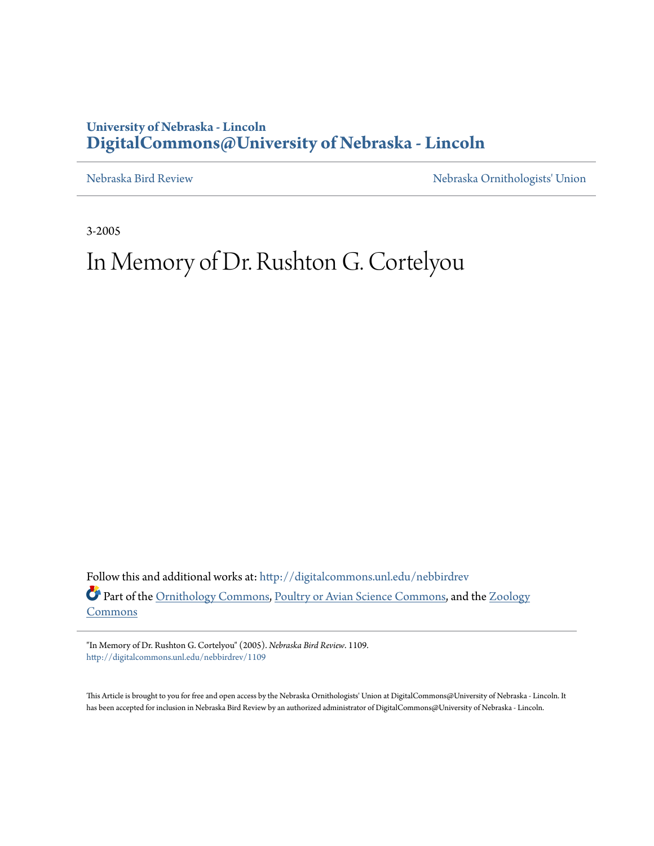## **University of Nebraska - Lincoln [DigitalCommons@University of Nebraska - Lincoln](http://digitalcommons.unl.edu?utm_source=digitalcommons.unl.edu%2Fnebbirdrev%2F1109&utm_medium=PDF&utm_campaign=PDFCoverPages)**

[Nebraska Bird Review](http://digitalcommons.unl.edu/nebbirdrev?utm_source=digitalcommons.unl.edu%2Fnebbirdrev%2F1109&utm_medium=PDF&utm_campaign=PDFCoverPages) [Nebraska Ornithologists' Union](http://digitalcommons.unl.edu/nebornithologists?utm_source=digitalcommons.unl.edu%2Fnebbirdrev%2F1109&utm_medium=PDF&utm_campaign=PDFCoverPages)

3-2005

## In Memory of Dr. Rushton G. Cortelyou

Follow this and additional works at: [http://digitalcommons.unl.edu/nebbirdrev](http://digitalcommons.unl.edu/nebbirdrev?utm_source=digitalcommons.unl.edu%2Fnebbirdrev%2F1109&utm_medium=PDF&utm_campaign=PDFCoverPages) Part of the [Ornithology Commons](http://network.bepress.com/hgg/discipline/1190?utm_source=digitalcommons.unl.edu%2Fnebbirdrev%2F1109&utm_medium=PDF&utm_campaign=PDFCoverPages), [Poultry or Avian Science Commons,](http://network.bepress.com/hgg/discipline/80?utm_source=digitalcommons.unl.edu%2Fnebbirdrev%2F1109&utm_medium=PDF&utm_campaign=PDFCoverPages) and the [Zoology](http://network.bepress.com/hgg/discipline/81?utm_source=digitalcommons.unl.edu%2Fnebbirdrev%2F1109&utm_medium=PDF&utm_campaign=PDFCoverPages) [Commons](http://network.bepress.com/hgg/discipline/81?utm_source=digitalcommons.unl.edu%2Fnebbirdrev%2F1109&utm_medium=PDF&utm_campaign=PDFCoverPages)

"In Memory of Dr. Rushton G. Cortelyou" (2005). *Nebraska Bird Review*. 1109. [http://digitalcommons.unl.edu/nebbirdrev/1109](http://digitalcommons.unl.edu/nebbirdrev/1109?utm_source=digitalcommons.unl.edu%2Fnebbirdrev%2F1109&utm_medium=PDF&utm_campaign=PDFCoverPages)

This Article is brought to you for free and open access by the Nebraska Ornithologists' Union at DigitalCommons@University of Nebraska - Lincoln. It has been accepted for inclusion in Nebraska Bird Review by an authorized administrator of DigitalCommons@University of Nebraska - Lincoln.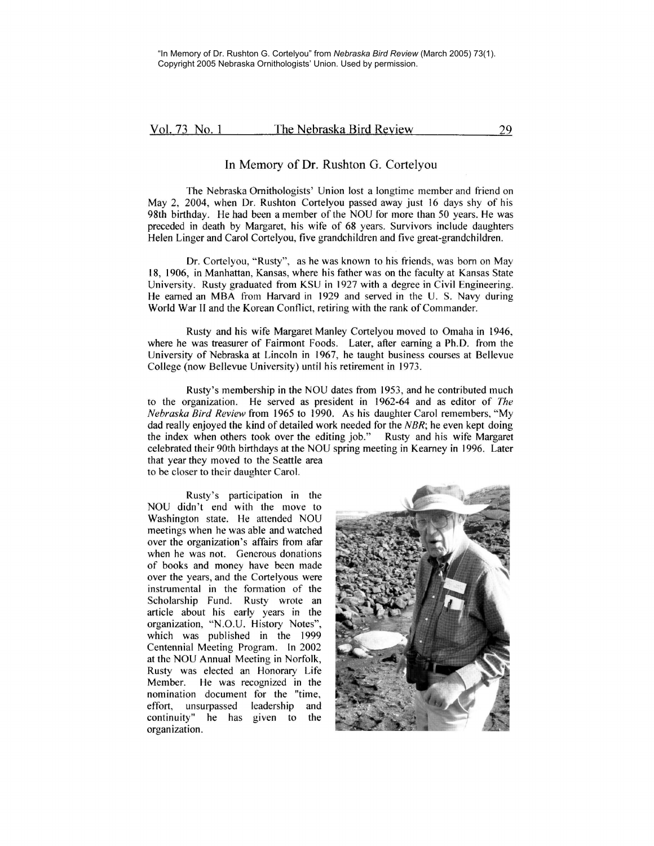## Vol. 73 No. 1 The Nebraska Bird Review 29

## In Memory of Dr. Rushton G. Cortelyou

The Nebraska Ornithologists' Union lost a longtime member and friend on May 2, 2004, when Dr. Rushton Cortelyou passed away just 16 days shy of his 98th birthday. He had been a member of the NOU for more than 50 years. He was preceded in death by Margaret, his wife of 68 years. Survivors include daughters Helen Linger and Carol Cortelyou, five grandchildren and five great-grandchildren.

Dr. Cortelyou, "Rusty", as he was known to his friends, was born on May 18, 1906, in Manhattan, Kansas, where his father was on the faculty at Kansas State University. Rusty graduated from KSU in 1927 with a degree in Civil Engineering. He earned an MBA from Harvard in 1929 and served in the U. S. Navy during World War II and the Korean Conflict, retiring with the rank of Commander.

Rusty and his wife Margaret Manley Cortelyou moved to Omaha in 1946, where he was treasurer of Fairmont Foods. Later, after earning a Ph.D. from the University of Nebraska at Lincoln in I 967, he taught business courses at Bellevue College (now Bellevue University) until his retirement in 1973.

Rusty's membership in the NOU dates from 1953, and he contributed much to the organization. He served as president in 1962-64 and as editor of *The Nebraska Bird Review* from 1965 to I 990. As his daughter Carol remembers, "My dad really enjoyed the kind of detailed work needed for the *NBR*; he even kept doing the index when others took over the editing job." Rusty and his wife Margaret the index when others took over the editing job." celebrated their 90th birthdays at the NOU spring meeting in Kearney in I 996. Later that year they moved to the Seattle area to be closer to their daughter Carol.

Rusty's participation in the NOU didn't end with the move to Washington state. He attended NOU meetings when he was able and watched over the organization's affairs from afar when he was not. Generous donations of books and money have been made over the years, and the Cortelyous were instrumental in the formation of the Scholarship Fund. Rusty wrote an article about his early years in the organization, "N.O.U. History Notes", which was published in the 1999 Centennial Meeting Program. In 2002 at the NOU Annual Meeting in Norfolk, Rusty was elected an Honorary Life Member. He was recognized in the nomination document for the "time, effort, unsurpassed leadership and continuity" he has given to the organization.